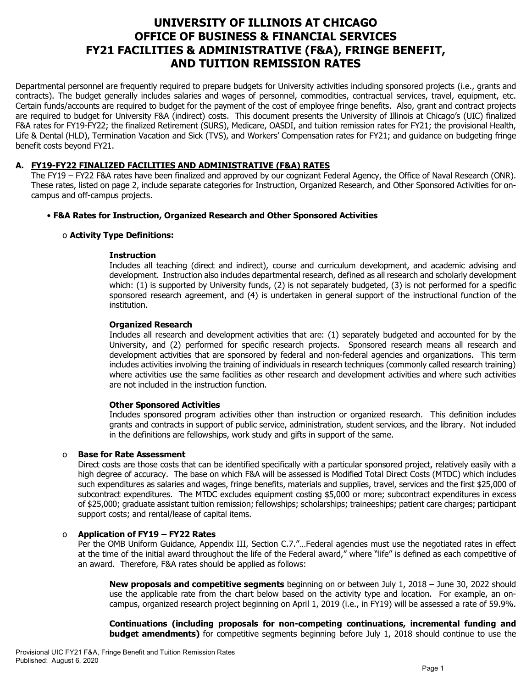# **UNIVERSITY OF ILLINOIS AT CHICAGO OFFICE OF BUSINESS & FINANCIAL SERVICES FY21 FACILITIES & ADMINISTRATIVE (F&A), FRINGE BENEFIT, AND TUITION REMISSION RATES**

Departmental personnel are frequently required to prepare budgets for University activities including sponsored projects (i.e., grants and contracts). The budget generally includes salaries and wages of personnel, commodities, contractual services, travel, equipment, etc. Certain funds/accounts are required to budget for the payment of the cost of employee fringe benefits. Also, grant and contract projects are required to budget for University F&A (indirect) costs. This document presents the University of Illinois at Chicago's (UIC) finalized F&A rates for FY19-FY22; the finalized Retirement (SURS), Medicare, OASDI, and tuition remission rates for FY21; the provisional Health, Life & Dental (HLD), Termination Vacation and Sick (TVS), and Workers' Compensation rates for FY21; and guidance on budgeting fringe benefit costs beyond FY21.

## **A. FY19-FY22 FINALIZED FACILITIES AND ADMINISTRATIVE (F&A) RATES**

The FY19 – FY22 F&A rates have been finalized and approved by our cognizant Federal Agency, the Office of Naval Research (ONR). These rates, listed on page 2, include separate categories for Instruction, Organized Research, and Other Sponsored Activities for oncampus and off-campus projects.

## • **F&A Rates for Instruction, Organized Research and Other Sponsored Activities**

## o **Activity Type Definitions:**

## **Instruction**

Includes all teaching (direct and indirect), course and curriculum development, and academic advising and development. Instruction also includes departmental research, defined as all research and scholarly development which: (1) is supported by University funds, (2) is not separately budgeted, (3) is not performed for a specific sponsored research agreement, and (4) is undertaken in general support of the instructional function of the institution.

## **Organized Research**

Includes all research and development activities that are: (1) separately budgeted and accounted for by the University, and (2) performed for specific research projects. Sponsored research means all research and development activities that are sponsored by federal and non-federal agencies and organizations. This term includes activities involving the training of individuals in research techniques (commonly called research training) where activities use the same facilities as other research and development activities and where such activities are not included in the instruction function.

## **Other Sponsored Activities**

Includes sponsored program activities other than instruction or organized research. This definition includes grants and contracts in support of public service, administration, student services, and the library. Not included in the definitions are fellowships, work study and gifts in support of the same.

## o **Base for Rate Assessment**

Direct costs are those costs that can be identified specifically with a particular sponsored project, relatively easily with a high degree of accuracy. The base on which F&A will be assessed is Modified Total Direct Costs (MTDC) which includes such expenditures as salaries and wages, fringe benefits, materials and supplies, travel, services and the first \$25,000 of subcontract expenditures. The MTDC excludes equipment costing \$5,000 or more; subcontract expenditures in excess of \$25,000; graduate assistant tuition remission; fellowships; scholarships; traineeships; patient care charges; participant support costs; and rental/lease of capital items.

## o **Application of FY19 – FY22 Rates**

Per the OMB Uniform Guidance, Appendix III, Section C.7."…Federal agencies must use the negotiated rates in effect at the time of the initial award throughout the life of the Federal award," where "life" is defined as each competitive of an award. Therefore, F&A rates should be applied as follows:

**New proposals and competitive segments** beginning on or between July 1, 2018 – June 30, 2022 should use the applicable rate from the chart below based on the activity type and location. For example, an oncampus, organized research project beginning on April 1, 2019 (i.e., in FY19) will be assessed a rate of 59.9%.

**Continuations (including proposals for non-competing continuations, incremental funding and budget amendments)** for competitive segments beginning before July 1, 2018 should continue to use the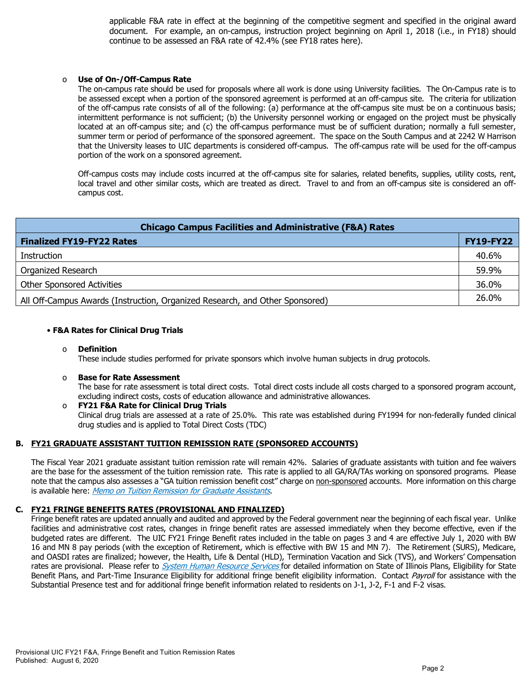applicable F&A rate in effect at the beginning of the competitive segment and specified in the original award document. For example, an on-campus, instruction project beginning on April 1, 2018 (i.e., in FY18) should continue to be assessed an F&A rate of 42.4% (see FY18 rates here).

#### o **Use of On-/Off-Campus Rate**

The on-campus rate should be used for proposals where all work is done using University facilities. The On-Campus rate is to be assessed except when a portion of the sponsored agreement is performed at an off-campus site. The criteria for utilization of the off-campus rate consists of all of the following: (a) performance at the off-campus site must be on a continuous basis; intermittent performance is not sufficient; (b) the University personnel working or engaged on the project must be physically located at an off-campus site; and (c) the off-campus performance must be of sufficient duration; normally a full semester, summer term or period of performance of the sponsored agreement. The space on the South Campus and at 2242 W Harrison that the University leases to UIC departments is considered off-campus. The off-campus rate will be used for the off-campus portion of the work on a sponsored agreement.

Off-campus costs may include costs incurred at the off-campus site for salaries, related benefits, supplies, utility costs, rent, local travel and other similar costs, which are treated as direct. Travel to and from an off-campus site is considered an offcampus cost.

| <b>Chicago Campus Facilities and Administrative (F&amp;A) Rates</b>          |                  |  |  |  |  |
|------------------------------------------------------------------------------|------------------|--|--|--|--|
| <b>Finalized FY19-FY22 Rates</b>                                             | <b>FY19-FY22</b> |  |  |  |  |
| Instruction                                                                  | 40.6%            |  |  |  |  |
| Organized Research                                                           | 59.9%            |  |  |  |  |
| <b>Other Sponsored Activities</b>                                            | 36.0%            |  |  |  |  |
| All Off-Campus Awards (Instruction, Organized Research, and Other Sponsored) | 26.0%            |  |  |  |  |

## • **F&A Rates for Clinical Drug Trials**

#### o **Definition**

These include studies performed for private sponsors which involve human subjects in drug protocols.

#### o **Base for Rate Assessment**

The base for rate assessment is total direct costs. Total direct costs include all costs charged to a sponsored program account, excluding indirect costs, costs of education allowance and administrative allowances.

#### o **FY21 F&A Rate for Clinical Drug Trials** Clinical drug trials are assessed at a rate of 25.0%. This rate was established during FY1994 for non-federally funded clinical drug studies and is applied to Total Direct Costs (TDC)

## **B. FY21 GRADUATE ASSISTANT TUITION REMISSION RATE (SPONSORED ACCOUNTS)**

The Fiscal Year 2021 graduate assistant tuition remission rate will remain 42%. Salaries of graduate assistants with tuition and fee waivers are the base for the assessment of the tuition remission rate. This rate is applied to all GA/RA/TAs working on sponsored programs. Please note that the campus also assesses a "GA tuition remission benefit cost" charge on non-sponsored accounts. More information on this charge is available here: [Memo on Tuition Remission for Graduate Assistants](https://www.obfs.uillinois.edu/common/pages/DisplayFile.aspx?itemId=436386).

## **C. FY21 FRINGE BENEFITS RATES (PROVISIONAL AND FINALIZED)**

Fringe benefit rates are updated annually and audited and approved by the Federal government near the beginning of each fiscal year. Unlike facilities and administrative cost rates, changes in fringe benefit rates are assessed immediately when they become effective, even if the budgeted rates are different. The UIC FY21 Fringe Benefit rates included in the table on pages 3 and 4 are effective July 1, 2020 with BW 16 and MN 8 pay periods (with the exception of Retirement, which is effective with BW 15 and MN 7). The Retirement (SURS), Medicare, and OASDI rates are finalized; however, the Health, Life & Dental (HLD), Termination Vacation and Sick (TVS), and Workers' Compensation rates are provisional. Please refer to *[System Human Resource Services](https://www.hr.uillinois.edu/benefits/)* for detailed information on State of Illinois Plans, Eligibility for State Benefit Plans, and Part-Time Insurance Eligibility for additional fringe benefit eligibility information. Contact [Payroll](https://www.obfs.uillinois.edu/payroll/customer-service/) for assistance with the Substantial Presence test and for additional fringe benefit information related to residents on J-1, J-2, F-1 and F-2 visas.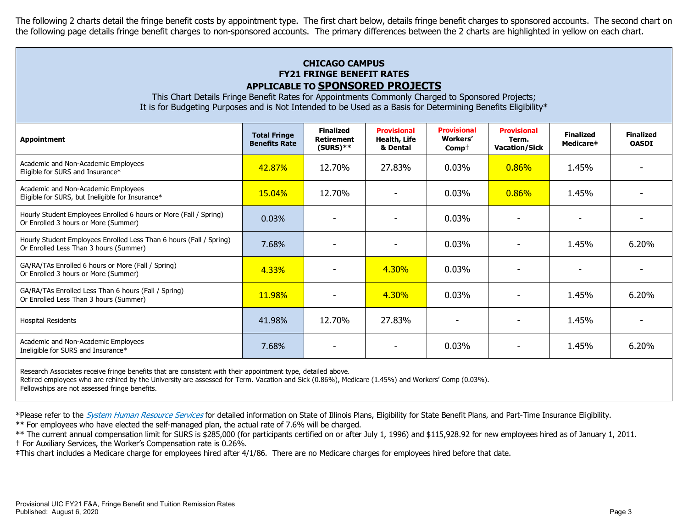The following 2 charts detail the fringe benefit costs by appointment type. The first chart below, details fringe benefit charges to sponsored accounts. The second chart on the following page details fringe benefit charges to non-sponsored accounts. The primary differences between the 2 charts are highlighted in yellow on each chart.

## **CHICAGO CAMPUS FY21 FRINGE BENEFIT RATES APPLICABLE TO SPONSORED PROJECTS**

This Chart Details Fringe Benefit Rates for Appointments Commonly Charged to Sponsored Projects; It is for Budgeting Purposes and is Not Intended to be Used as a Basis for Determining Benefits Eligibility\*

| <b>Appointment</b>                                                                                            | <b>Total Fringe</b><br><b>Benefits Rate</b> | <b>Finalized</b><br><b>Retirement</b><br>$(SURS)$ ** | <b>Provisional</b><br>Health, Life<br>& Dental | <b>Provisional</b><br><b>Workers'</b><br>$Comp+$ | <b>Provisional</b><br>Term.<br><b>Vacation/Sick</b> | <b>Finalized</b><br>Medicare‡ | <b>Finalized</b><br><b>OASDI</b> |
|---------------------------------------------------------------------------------------------------------------|---------------------------------------------|------------------------------------------------------|------------------------------------------------|--------------------------------------------------|-----------------------------------------------------|-------------------------------|----------------------------------|
| Academic and Non-Academic Employees<br>Eligible for SURS and Insurance*                                       | 42.87%                                      | 12.70%                                               | 27.83%                                         | 0.03%                                            | 0.86%                                               | 1.45%                         |                                  |
| Academic and Non-Academic Employees<br>Eligible for SURS, but Ineligible for Insurance*                       | 15.04%                                      | 12.70%                                               |                                                | 0.03%                                            | 0.86%                                               | 1.45%                         |                                  |
| Hourly Student Employees Enrolled 6 hours or More (Fall / Spring)<br>Or Enrolled 3 hours or More (Summer)     | 0.03%                                       |                                                      |                                                | 0.03%                                            |                                                     |                               |                                  |
| Hourly Student Employees Enrolled Less Than 6 hours (Fall / Spring)<br>Or Enrolled Less Than 3 hours (Summer) | 7.68%                                       |                                                      |                                                | 0.03%                                            |                                                     | 1.45%                         | 6.20%                            |
| GA/RA/TAs Enrolled 6 hours or More (Fall / Spring)<br>Or Enrolled 3 hours or More (Summer)                    | 4.33%                                       |                                                      | 4.30%                                          | 0.03%                                            |                                                     |                               |                                  |
| GA/RA/TAs Enrolled Less Than 6 hours (Fall / Spring)<br>Or Enrolled Less Than 3 hours (Summer)                | 11.98%                                      |                                                      | 4.30%                                          | $0.03\%$                                         |                                                     | 1.45%                         | 6.20%                            |
| <b>Hospital Residents</b>                                                                                     | 41.98%                                      | 12.70%                                               | 27.83%                                         |                                                  |                                                     | 1.45%                         |                                  |
| Academic and Non-Academic Employees<br>Ineligible for SURS and Insurance*                                     | 7.68%                                       |                                                      |                                                | 0.03%                                            |                                                     | 1.45%                         | 6.20%                            |
|                                                                                                               |                                             |                                                      |                                                |                                                  |                                                     |                               |                                  |

Research Associates receive fringe benefits that are consistent with their appointment type, detailed above.

Retired employees who are rehired by the University are assessed for Term. Vacation and Sick (0.86%), Medicare (1.45%) and Workers' Comp (0.03%).

Fellowships are not assessed fringe benefits.

\*Please refer to the [System Human Resource Services](https://www.hr.uillinois.edu/benefits/) for detailed information on State of Illinois Plans, Eligibility for State Benefit Plans, and Part-Time Insurance Eligibility.

\*\* For employees who have elected the self-managed plan, the actual rate of 7.6% will be charged.

\*\* The current annual compensation limit for SURS is \$285,000 (for participants certified on or after July 1, 1996) and \$115,928.92 for new employees hired as of January 1, 2011. † For Auxiliary Services, the Worker's Compensation rate is 0.26%.

‡This chart includes a Medicare charge for employees hired after 4/1/86. There are no Medicare charges for employees hired before that date.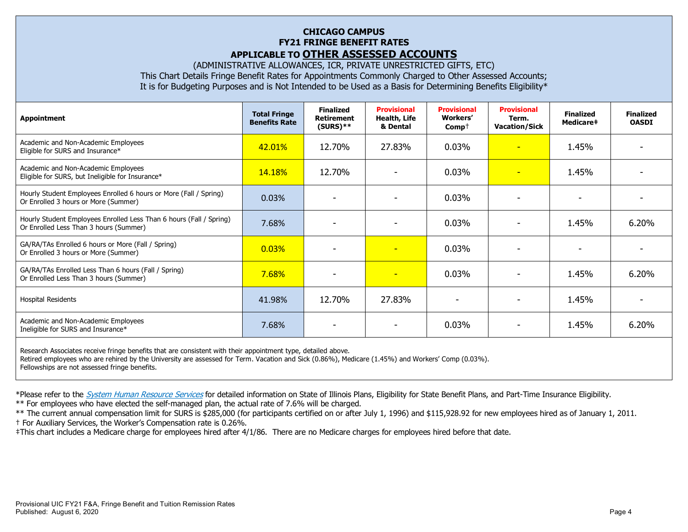## **CHICAGO CAMPUS FY21 FRINGE BENEFIT RATES APPLICABLE TO OTHER ASSESSED ACCOUNTS**

(ADMINISTRATIVE ALLOWANCES, ICR, PRIVATE UNRESTRICTED GIFTS, ETC)

This Chart Details Fringe Benefit Rates for Appointments Commonly Charged to Other Assessed Accounts;

It is for Budgeting Purposes and is Not Intended to be Used as a Basis for Determining Benefits Eligibility\*

| <b>Appointment</b>                                                                                            | <b>Total Fringe</b><br><b>Benefits Rate</b> | <b>Finalized</b><br><b>Retirement</b><br>$(SURS)$ ** | <b>Provisional</b><br>Health, Life<br>& Dental | <b>Provisional</b><br><b>Workers'</b><br>$Comp+$ | <b>Provisional</b><br>Term.<br><b>Vacation/Sick</b> | <b>Finalized</b><br>Medicare# | <b>Finalized</b><br><b>OASDI</b> |
|---------------------------------------------------------------------------------------------------------------|---------------------------------------------|------------------------------------------------------|------------------------------------------------|--------------------------------------------------|-----------------------------------------------------|-------------------------------|----------------------------------|
| Academic and Non-Academic Employees<br>Eligible for SURS and Insurance*                                       | 42.01%                                      | 12.70%                                               | 27.83%                                         | $0.03\%$                                         | $\overline{\phantom{a}}$                            | 1.45%                         |                                  |
| Academic and Non-Academic Employees<br>Eligible for SURS, but Ineligible for Insurance*                       | 14.18%                                      | 12.70%                                               |                                                | $0.03\%$                                         | $\overline{\phantom{a}}$                            | 1.45%                         |                                  |
| Hourly Student Employees Enrolled 6 hours or More (Fall / Spring)<br>Or Enrolled 3 hours or More (Summer)     | 0.03%                                       |                                                      |                                                | 0.03%                                            |                                                     |                               |                                  |
| Hourly Student Employees Enrolled Less Than 6 hours (Fall / Spring)<br>Or Enrolled Less Than 3 hours (Summer) | 7.68%                                       |                                                      |                                                | 0.03%                                            |                                                     | 1.45%                         | $6.20\%$                         |
| GA/RA/TAs Enrolled 6 hours or More (Fall / Spring)<br>Or Enrolled 3 hours or More (Summer)                    | 0.03%                                       |                                                      | $\overline{\phantom{0}}$                       | 0.03%                                            |                                                     |                               |                                  |
| GA/RA/TAs Enrolled Less Than 6 hours (Fall / Spring)<br>Or Enrolled Less Than 3 hours (Summer)                | 7.68%                                       |                                                      | $\overline{\phantom{0}}$                       | $0.03\%$                                         |                                                     | 1.45%                         | 6.20%                            |
| <b>Hospital Residents</b>                                                                                     | 41.98%                                      | 12.70%                                               | 27.83%                                         |                                                  |                                                     | 1.45%                         |                                  |
| Academic and Non-Academic Employees<br>Ineligible for SURS and Insurance*                                     | 7.68%                                       |                                                      |                                                | 0.03%                                            |                                                     | 1.45%                         | 6.20%                            |
|                                                                                                               |                                             |                                                      |                                                |                                                  |                                                     |                               |                                  |

Research Associates receive fringe benefits that are consistent with their appointment type, detailed above. Retired employees who are rehired by the University are assessed for Term. Vacation and Sick (0.86%), Medicare (1.45%) and Workers' Comp (0.03%). Fellowships are not assessed fringe benefits.

\*Please refer to the [System Human Resource Services](https://www.hr.uillinois.edu/benefits/) for detailed information on State of Illinois Plans, Eligibility for State Benefit Plans, and Part-Time Insurance Eligibility.

\*\* For employees who have elected the self-managed plan, the actual rate of 7.6% will be charged.

\*\* The current annual compensation limit for SURS is \$285,000 (for participants certified on or after July 1, 1996) and \$115,928.92 for new employees hired as of January 1, 2011. † For Auxiliary Services, the Worker's Compensation rate is 0.26%.

‡This chart includes a Medicare charge for employees hired after 4/1/86. There are no Medicare charges for employees hired before that date.